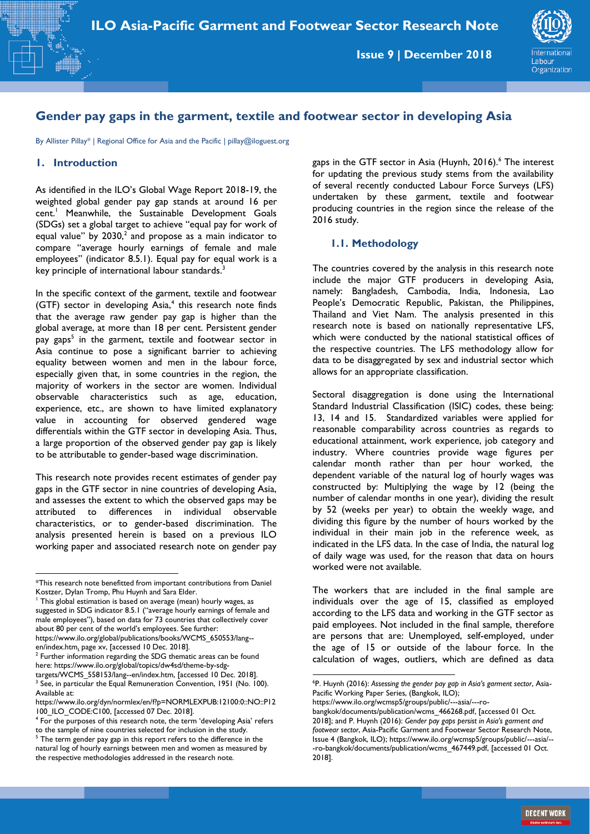**Issue 9 | December 2018**



## **Gender pay gaps in the garment, textile and footwear sector in developing Asia**

By Allister Pillay\* | Regional Office for Asia and the Pacific | pillay@iloguest.org

### **1. Introduction**

As identified in the ILO's Global Wage Report 2018-19, the weighted global gender pay gap stands at around 16 per cent.<sup>1</sup> Meanwhile, the Sustainable Development Goals (SDGs) set a global target to achieve "equal pay for work of equal value" by  $2030$ ,<sup>2</sup> and propose as a main indicator to compare "average hourly earnings of female and male employees" (indicator 8.5.1). Equal pay for equal work is a key principle of international labour standards.<sup>3</sup>

In the specific context of the garment, textile and footwear (GTF) sector in developing Asia,<sup>4</sup> this research note finds that the average raw gender pay gap is higher than the global average, at more than 18 per cent. Persistent gender pay gaps<sup>5</sup> in the garment, textile and footwear sector in Asia continue to pose a significant barrier to achieving equality between women and men in the labour force, especially given that, in some countries in the region, the majority of workers in the sector are women. Individual observable characteristics such as age, education, experience, etc., are shown to have limited explanatory value in accounting for observed gendered wage differentials within the GTF sector in developing Asia. Thus, a large proportion of the observed gender pay gap is likely to be attributable to gender-based wage discrimination.

This research note provides recent estimates of gender pay gaps in the GTF sector in nine countries of developing Asia, and assesses the extent to which the observed gaps may be attributed to differences in individual observable characteristics, or to gender-based discrimination. The analysis presented herein is based on a previous ILO working paper and associated research note on gender pay gaps in the GTF sector in Asia (Huynh, 2016).<sup>6</sup> The interest for updating the previous study stems from the availability of several recently conducted Labour Force Surveys (LFS) undertaken by these garment, textile and footwear producing countries in the region since the release of the 2016 study.

## **1.1. Methodology**

The countries covered by the analysis in this research note include the major GTF producers in developing Asia, namely: Bangladesh, Cambodia, India, Indonesia, Lao People's Democratic Republic, Pakistan, the Philippines, Thailand and Viet Nam. The analysis presented in this research note is based on nationally representative LFS, which were conducted by the national statistical offices of the respective countries. The LFS methodology allow for data to be disaggregated by sex and industrial sector which allows for an appropriate classification.

Sectoral disaggregation is done using the International Standard Industrial Classification (ISIC) codes, these being: 13, 14 and 15. Standardized variables were applied for reasonable comparability across countries as regards to educational attainment, work experience, job category and industry. Where countries provide wage figures per calendar month rather than per hour worked, the dependent variable of the natural log of hourly wages was constructed by: Multiplying the wage by 12 (being the number of calendar months in one year), dividing the result by 52 (weeks per year) to obtain the weekly wage, and dividing this figure by the number of hours worked by the individual in their main job in the reference week, as indicated in the LFS data. In the case of India, the natural log of daily wage was used, for the reason that data on hours worked were not available.

The workers that are included in the final sample are individuals over the age of 15, classified as employed according to the LFS data and working in the GTF sector as paid employees. Not included in the final sample, therefore are persons that are: Unemployed, self-employed, under the age of 15 or outside of the labour force. In the calculation of wages, outliers, which are defined as data

1

**<sup>.</sup>** \*This research note benefitted from important contributions from Daniel Kostzer, Dylan Tromp, Phu Huynh and Sara Elder.

<sup>&</sup>lt;sup>1</sup> This global estimation is based on average (mean) hourly wages, as suggested in SDG indicator 8.5.1 ("average hourly earnings of female and male employees"), based on data for 73 countries that collectively cover about 80 per cent of the world's employees. See further:

[https://www.ilo.org/global/publications/books/WCMS\\_650553/lang-](https://www.ilo.org/global/publications/books/WCMS_650553/lang--en/index.htm) en/index.htm<u>,</u> page xv, [accessed 10 Dec. 2018].<br><sup>2</sup> Further information regarding the SDG thematic areas can be found

here: [https://www.ilo.org/global/topics/dw4sd/theme-by-sdg-](https://www.ilo.org/global/topics/dw4sd/theme-by-sdg-targets/WCMS_558153/lang--en/index.htm)

[targets/WCMS\\_558153/lang--en/index.htm,](https://www.ilo.org/global/topics/dw4sd/theme-by-sdg-targets/WCMS_558153/lang--en/index.htm) [accessed 10 Dec. 2018].<br><sup>3</sup> See, in particular the Equal Remuneration Convention, 1951 (No. 100). Available at:

[https://www.ilo.org/dyn/normlex/en/f?p=NORMLEXPUB:12100:0::NO::P12](https://www.ilo.org/dyn/normlex/en/f?p=NORMLEXPUB:12100:0::NO::P12100_ILO_CODE:C100) 100 ILO CODE:C100, [accessed 07 Dec. 2018].

<sup>&</sup>lt;sup>4</sup> For the purposes of this research note, the term 'developing Asia' refers to the sample of nine countries selected for inclusion in the study.

<sup>&</sup>lt;sup>5</sup> The term gender pay gap in this report refers to the difference in the natural log of hourly earnings between men and women as measured by the respective methodologies addressed in the research note.

<sup>6</sup>P. Huynh (2016): *Assessing the gender pay gap in Asia's garment sector*, Asia-Pacific Working Paper Series, (Bangkok, ILO);

[https://www.ilo.org/wcmsp5/groups/public/---asia/---ro-](https://www.ilo.org/wcmsp5/groups/public/---asia/---ro-bangkok/documents/publication/wcms_466268.pdf)

[bangkok/documents/publication/wcms\\_466268.pdf,](https://www.ilo.org/wcmsp5/groups/public/---asia/---ro-bangkok/documents/publication/wcms_466268.pdf) [accessed 01 Oct. 2018]; and P. Huynh (2016): *Gender pay gaps persist in Asia's garment and footwear sector*, Asia-Pacific Garment and Footwear Sector Research Note, Issue 4 (Bangkok, ILO)[; https://www.ilo.org/wcmsp5/groups/public/---asia/--](https://www.ilo.org/wcmsp5/groups/public/---asia/---ro-bangkok/documents/publication/wcms_467449.pdf) [-ro-bangkok/documents/publication/wcms\\_467449.pdf,](https://www.ilo.org/wcmsp5/groups/public/---asia/---ro-bangkok/documents/publication/wcms_467449.pdf) [accessed 01 Oct. 2018].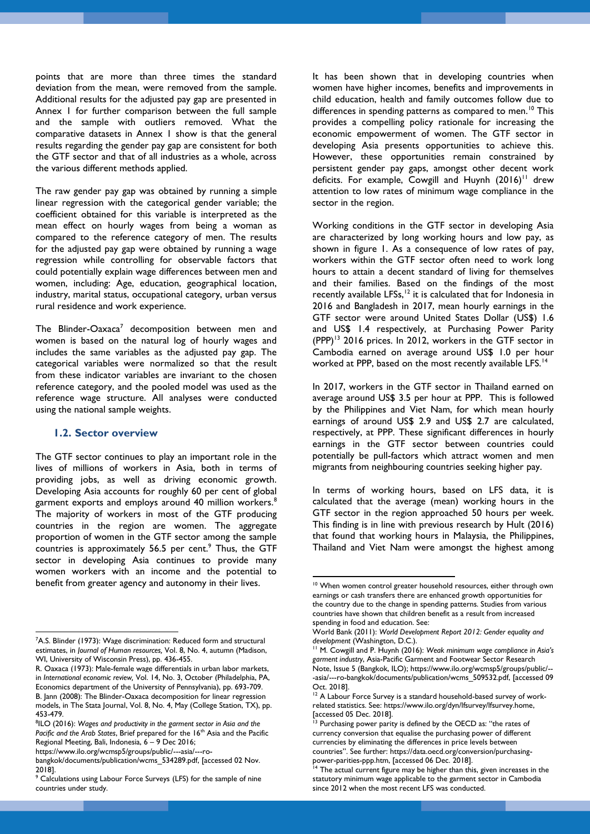points that are more than three times the standard deviation from the mean, were removed from the sample. Additional results for the adjusted pay gap are presented in Annex 1 for further comparison between the full sample and the sample with outliers removed. What the comparative datasets in Annex 1 show is that the general results regarding the gender pay gap are consistent for both the GTF sector and that of all industries as a whole, across the various different methods applied.

The raw gender pay gap was obtained by running a simple linear regression with the categorical gender variable; the coefficient obtained for this variable is interpreted as the mean effect on hourly wages from being a woman as compared to the reference category of men. The results for the adjusted pay gap were obtained by running a wage regression while controlling for observable factors that could potentially explain wage differences between men and women, including: Age, education, geographical location, industry, marital status, occupational category, urban versus rural residence and work experience.

The Blinder-Oaxaca<sup>7</sup> decomposition between men and women is based on the natural log of hourly wages and includes the same variables as the adjusted pay gap. The categorical variables were normalized so that the result from these indicator variables are invariant to the chosen reference category, and the pooled model was used as the reference wage structure. All analyses were conducted using the national sample weights.

#### **1.2. Sector overview**

**.** 

The GTF sector continues to play an important role in the lives of millions of workers in Asia, both in terms of providing jobs, as well as driving economic growth. Developing Asia accounts for roughly 60 per cent of global garment exports and employs around 40 million workers.<sup>8</sup> The majority of workers in most of the GTF producing countries in the region are women. The aggregate proportion of women in the GTF sector among the sample countries is approximately 56.5 per cent.<sup>9</sup> Thus, the GTF sector in developing Asia continues to provide many women workers with an income and the potential to benefit from greater agency and autonomy in their lives.

It has been shown that in developing countries when women have higher incomes, benefits and improvements in child education, health and family outcomes follow due to differences in spending patterns as compared to men.<sup>10</sup> This provides a compelling policy rationale for increasing the economic empowerment of women. The GTF sector in developing Asia presents opportunities to achieve this. However, these opportunities remain constrained by persistent gender pay gaps, amongst other decent work deficits. For example, Cowgill and Huynh (2016)<sup>11</sup> drew attention to low rates of minimum wage compliance in the sector in the region.

Working conditions in the GTF sector in developing Asia are characterized by long working hours and low pay, as shown in figure 1. As a consequence of low rates of pay, workers within the GTF sector often need to work long hours to attain a decent standard of living for themselves and their families. Based on the findings of the most recently available LFSs,<sup>12</sup> it is calculated that for Indonesia in 2016 and Bangladesh in 2017, mean hourly earnings in the GTF sector were around United States Dollar (US\$) 1.6 and US\$ 1.4 respectively, at Purchasing Power Parity (PPP)<sup>13</sup> 2016 prices. In 2012, workers in the GTF sector in Cambodia earned on average around US\$ 1.0 per hour worked at PPP, based on the most recently available LFS.<sup>14</sup>

In 2017, workers in the GTF sector in Thailand earned on average around US\$ 3.5 per hour at PPP. This is followed by the Philippines and Viet Nam, for which mean hourly earnings of around US\$ 2.9 and US\$ 2.7 are calculated, respectively, at PPP. These significant differences in hourly earnings in the GTF sector between countries could potentially be pull-factors which attract women and men migrants from neighbouring countries seeking higher pay.

In terms of working hours, based on LFS data, it is calculated that the average (mean) working hours in the GTF sector in the region approached 50 hours per week. This finding is in line with previous research by Hult (2016) that found that working hours in Malaysia, the Philippines, Thailand and Viet Nam were amongst the highest among

 $\overline{a}$ 

<sup>&</sup>lt;sup>7</sup>A.S. Blinder (1973): Wage discrimination: Reduced form and structural estimates, in *Journal of Human resources,* Vol. 8, No. 4, autumn (Madison, WI, University of Wisconsin Press), pp. 436-455.

R. Oaxaca (1973): Male-female wage differentials in urban labor markets, in *International economic review,* Vol. 14, No. 3, October (Philadelphia, PA, Economics department of the University of Pennsylvania), pp. 693-709. B. Jann (2008): The Blinder-Oaxaca decomposition for linear regression

models, in The Stata Journal, Vol. 8, No. 4, May (College Station, TX), pp. 453-479.

<sup>8</sup> ILO (2016): *Wages and productivity in the garment sector in Asia and the*  Pacific and the Arab States, Brief prepared for the 16<sup>th</sup> Asia and the Pacific Regional Meeting, Bali, Indonesia, 6 – 9 Dec 2016; [https://www.ilo.org/wcmsp5/groups/public/---asia/---ro-](https://www.ilo.org/wcmsp5/groups/public/---asia/---ro-bangkok/documents/publication/wcms_534289.pdf)

[bangkok/documents/publication/wcms\\_534289.pdf,](https://www.ilo.org/wcmsp5/groups/public/---asia/---ro-bangkok/documents/publication/wcms_534289.pdf) [accessed 02 Nov. 2018].

<sup>9</sup> Calculations using Labour Force Surveys (LFS) for the sample of nine countries under study.

<sup>&</sup>lt;sup>10</sup> When women control greater household resources, either through own earnings or cash transfers there are enhanced growth opportunities for the country due to the change in spending patterns. Studies from various countries have shown that children benefit as a result from increased spending in food and education. See:

World Bank (2011): *World Development Report 2012: Gender equality and development* (Washington, D.C.).

<sup>11</sup> M. Cowgill and P. Huynh (2016): *Weak minimum wage compliance in Asia's garment industry*, Asia-Pacific Garment and Footwear Sector Research Note, Issue 5 (Bangkok, ILO)[; https://www.ilo.org/wcmsp5/groups/public/--](https://www.ilo.org/wcmsp5/groups/public/---asia/---ro-bangkok/documents/publication/wcms_509532.pdf) [-asia/---ro-bangkok/documents/publication/wcms\\_509532.pdf,](https://www.ilo.org/wcmsp5/groups/public/---asia/---ro-bangkok/documents/publication/wcms_509532.pdf) [accessed 09 Oct. 2018].

<sup>&</sup>lt;sup>12</sup> A Labour Force Survey is a standard household-based survey of workrelated statistics. See[: https://www.ilo.org/dyn/lfsurvey/lfsurvey.home,](https://www.ilo.org/dyn/lfsurvey/lfsurvey.home) [accessed 05 Dec. 2018].

Purchasing power parity is defined by the OECD as: "the rates of currency conversion that equalise the purchasing power of different currencies by eliminating the differences in price levels between countries". See further: [https://data.oecd.org/conversion/purchasing](https://data.oecd.org/conversion/purchasing-power-parities-ppp.htm)[power-parities-ppp.htm,](https://data.oecd.org/conversion/purchasing-power-parities-ppp.htm) [accessed 06 Dec. 2018].

The actual current figure may be higher than this, given increases in the statutory minimum wage applicable to the garment sector in Cambodia since 2012 when the most recent LFS was conducted.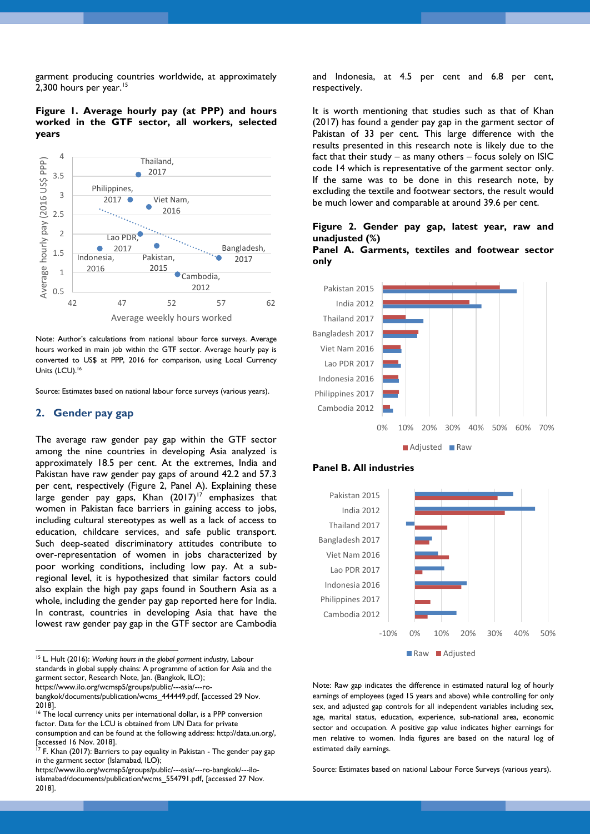garment producing countries worldwide, at approximately 2,300 hours per year.<sup>15</sup>

**Figure 1. Average hourly pay (at PPP) and hours worked in the GTF sector, all workers, selected years**



Note: Author's calculations from national labour force surveys. Average hours worked in main job within the GTF sector. Average hourly pay is converted to US\$ at PPP, 2016 for comparison, using Local Currency Units (LCU).<sup>16</sup>

Source: Estimates based on national labour force surveys (various years).

#### **2. Gender pay gap**

1

The average raw gender pay gap within the GTF sector among the nine countries in developing Asia analyzed is approximately 18.5 per cent. At the extremes, India and Pakistan have raw gender pay gaps of around 42.2 and 57.3 per cent, respectively (Figure 2, Panel A). Explaining these large gender pay gaps, Khan  $(2017)^{17}$  emphasizes that women in Pakistan face barriers in gaining access to jobs, including cultural stereotypes as well as a lack of access to education, childcare services, and safe public transport. Such deep-seated discriminatory attitudes contribute to over-representation of women in jobs characterized by poor working conditions, including low pay. At a subregional level, it is hypothesized that similar factors could also explain the high pay gaps found in Southern Asia as a whole, including the gender pay gap reported here for India. In contrast, countries in developing Asia that have the lowest raw gender pay gap in the GTF sector are Cambodia

<sup>15</sup> L. Hult (2016): *Working hours in the global garment industry*, Labour standards in global supply chains: A programme of action for Asia and the garment sector, Research Note, Jan. (Bangkok, ILO); [https://www.ilo.org/wcmsp5/groups/public/---asia/---ro-](https://www.ilo.org/wcmsp5/groups/public/---asia/---ro-bangkok/documents/publication/wcms_444449.pdf)

<sup>16</sup> The local currency units per international dollar, is a PPP conversion factor. Data for the LCU is obtained from UN Data for private consumption and can be found at the following address: [http://data.un.org/,](http://data.un.org/) [accessed 16 Nov. 2018].

and Indonesia, at 4.5 per cent and 6.8 per cent, respectively.

It is worth mentioning that studies such as that of Khan (2017) has found a gender pay gap in the garment sector of Pakistan of 33 per cent. This large difference with the results presented in this research note is likely due to the fact that their study – as many others – focus solely on ISIC code 14 which is representative of the garment sector only. If the same was to be done in this research note, by excluding the textile and footwear sectors, the result would be much lower and comparable at around 39.6 per cent.

## **Figure 2. Gender pay gap, latest year, raw and unadjusted (%)**

**Panel A. Garments, textiles and footwear sector only**







Note: Raw gap indicates the difference in estimated natural log of hourly earnings of employees (aged 15 years and above) while controlling for only sex, and adjusted gap controls for all independent variables including sex, age, marital status, education, experience, sub-national area, economic sector and occupation. A positive gap value indicates higher earnings for men relative to women. India figures are based on the natural log of estimated daily earnings.

Source: Estimates based on national Labour Force Surveys (various years).

[bangkok/documents/publication/wcms\\_444449.pdf,](https://www.ilo.org/wcmsp5/groups/public/---asia/---ro-bangkok/documents/publication/wcms_444449.pdf) [accessed 29 Nov. 2018].

 $17$  F. Khan (2017): Barriers to pay equality in Pakistan - The gender pay gap in the garment sector (Islamabad, ILO);

[https://www.ilo.org/wcmsp5/groups/public/---asia/---ro-bangkok/---ilo](https://www.ilo.org/wcmsp5/groups/public/---asia/---ro-bangkok/---ilo-islamabad/documents/publication/wcms_554791.pdf)[islamabad/documents/publication/wcms\\_554791.pdf,](https://www.ilo.org/wcmsp5/groups/public/---asia/---ro-bangkok/---ilo-islamabad/documents/publication/wcms_554791.pdf) [accessed 27 Nov. 2018].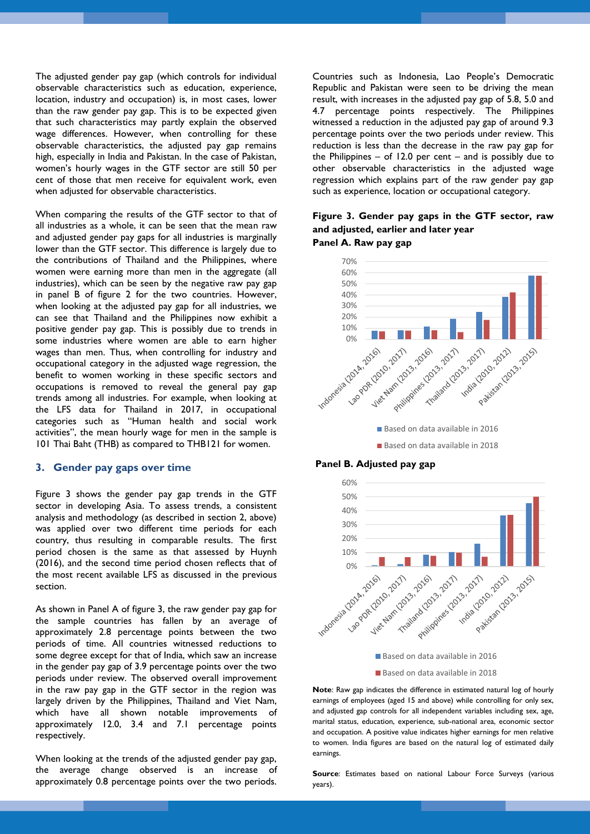The adjusted gender pay gap (which controls for individual observable characteristics such as education, experience, location, industry and occupation) is, in most cases, lower than the raw gender pay gap. This is to be expected given that such characteristics may partly explain the observed wage differences. However, when controlling for these observable characteristics, the adjusted pay gap remains high, especially in India and Pakistan. In the case of Pakistan, women's hourly wages in the GTF sector are still 50 per cent of those that men receive for equivalent work, even when adjusted for observable characteristics.

When comparing the results of the GTF sector to that of all industries as a whole, it can be seen that the mean raw and adjusted gender pay gaps for all industries is marginally lower than the GTF sector. This difference is largely due to the contributions of Thailand and the Philippines, where women were earning more than men in the aggregate (all industries), which can be seen by the negative raw pay gap in panel B of figure 2 for the two countries. However, when looking at the adjusted pay gap for all industries, we can see that Thailand and the Philippines now exhibit a positive gender pay gap. This is possibly due to trends in some industries where women are able to earn higher wages than men. Thus, when controlling for industry and occupational category in the adjusted wage regression, the benefit to women working in these specific sectors and occupations is removed to reveal the general pay gap trends among all industries. For example, when looking at the LFS data for Thailand in 2017, in occupational categories such as "Human health and social work activities", the mean hourly wage for men in the sample is 101 Thai Baht (THB) as compared to THB121 for women.

#### **3. Gender pay gaps over time**

Figure 3 shows the gender pay gap trends in the GTF sector in developing Asia. To assess trends, a consistent analysis and methodology (as described in section 2, above) was applied over two different time periods for each country, thus resulting in comparable results. The first period chosen is the same as that assessed by Huynh (2016), and the second time period chosen reflects that of the most recent available LFS as discussed in the previous section.

As shown in Panel A of figure 3, the raw gender pay gap for the sample countries has fallen by an average of approximately 2.8 percentage points between the two periods of time. All countries witnessed reductions to some degree except for that of India, which saw an increase in the gender pay gap of 3.9 percentage points over the two periods under review. The observed overall improvement in the raw pay gap in the GTF sector in the region was largely driven by the Philippines, Thailand and Viet Nam, which have all shown notable improvements of approximately 12.0, 3.4 and 7.1 percentage points respectively.

When looking at the trends of the adjusted gender pay gap, the average change observed is an increase of approximately 0.8 percentage points over the two periods. Countries such as Indonesia, Lao People's Democratic Republic and Pakistan were seen to be driving the mean result, with increases in the adjusted pay gap of 5.8, 5.0 and 4.7 percentage points respectively. The Philippines witnessed a reduction in the adjusted pay gap of around 9.3 percentage points over the two periods under review. This reduction is less than the decrease in the raw pay gap for the Philippines  $-$  of 12.0 per cent  $-$  and is possibly due to other observable characteristics in the adjusted wage regression which explains part of the raw gender pay gap such as experience, location or occupational category.

## **Figure 3. Gender pay gaps in the GTF sector, raw and adjusted, earlier and later year Panel A. Raw pay gap**



Based on data available in 2016

Based on data available in 2018

#### **Panel B. Adjusted pay gap**



Based on data available in 2018

**Note**: Raw gap indicates the difference in estimated natural log of hourly earnings of employees (aged 15 and above) while controlling for only sex, and adjusted gap controls for all independent variables including sex, age, marital status, education, experience, sub-national area, economic sector and occupation. A positive value indicates higher earnings for men relative to women. India figures are based on the natural log of estimated daily earnings.

**Source**: Estimates based on national Labour Force Surveys (various years).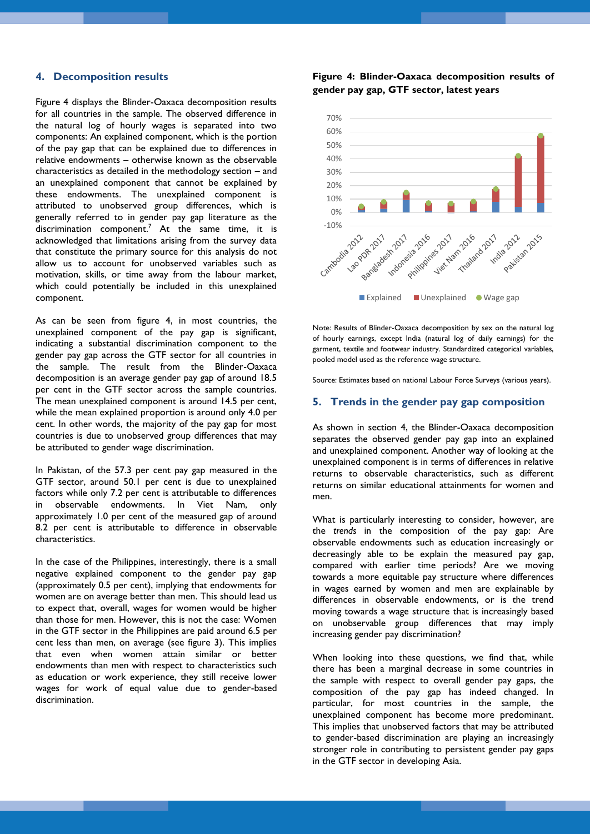#### **4. Decomposition results**

Figure 4 displays the Blinder-Oaxaca decomposition results for all countries in the sample. The observed difference in the natural log of hourly wages is separated into two components: An explained component, which is the portion of the pay gap that can be explained due to differences in relative endowments – otherwise known as the observable characteristics as detailed in the methodology section – and an unexplained component that cannot be explained by these endowments. The unexplained component is attributed to unobserved group differences, which is generally referred to in gender pay gap literature as the discrimination component.<sup>7</sup> At the same time, it is acknowledged that limitations arising from the survey data that constitute the primary source for this analysis do not allow us to account for unobserved variables such as motivation, skills, or time away from the labour market, which could potentially be included in this unexplained component.

As can be seen from figure 4, in most countries, the unexplained component of the pay gap is significant, indicating a substantial discrimination component to the gender pay gap across the GTF sector for all countries in the sample. The result from the Blinder-Oaxaca decomposition is an average gender pay gap of around 18.5 per cent in the GTF sector across the sample countries. The mean unexplained component is around 14.5 per cent, while the mean explained proportion is around only 4.0 per cent. In other words, the majority of the pay gap for most countries is due to unobserved group differences that may be attributed to gender wage discrimination.

In Pakistan, of the 57.3 per cent pay gap measured in the GTF sector, around 50.1 per cent is due to unexplained factors while only 7.2 per cent is attributable to differences in observable endowments. In Viet Nam, only approximately 1.0 per cent of the measured gap of around 8.2 per cent is attributable to difference in observable characteristics.

In the case of the Philippines, interestingly, there is a small negative explained component to the gender pay gap (approximately 0.5 per cent), implying that endowments for women are on average better than men. This should lead us to expect that, overall, wages for women would be higher than those for men. However, this is not the case: Women in the GTF sector in the Philippines are paid around 6.5 per cent less than men, on average (see figure 3). This implies that even when women attain similar or better endowments than men with respect to characteristics such as education or work experience, they still receive lower wages for work of equal value due to gender-based discrimination.

**Figure 4: Blinder-Oaxaca decomposition results of gender pay gap, GTF sector, latest years**



Note: Results of Blinder-Oaxaca decomposition by sex on the natural log of hourly earnings, except India (natural log of daily earnings) for the garment, textile and footwear industry. Standardized categorical variables, pooled model used as the reference wage structure.

Source: Estimates based on national Labour Force Surveys (various years).

#### **5. Trends in the gender pay gap composition**

As shown in section 4, the Blinder-Oaxaca decomposition separates the observed gender pay gap into an explained and unexplained component. Another way of looking at the unexplained component is in terms of differences in relative returns to observable characteristics, such as different returns on similar educational attainments for women and men.

What is particularly interesting to consider, however, are the *trends* in the composition of the pay gap: Are observable endowments such as education increasingly or decreasingly able to be explain the measured pay gap, compared with earlier time periods? Are we moving towards a more equitable pay structure where differences in wages earned by women and men are explainable by differences in observable endowments, or is the trend moving towards a wage structure that is increasingly based on unobservable group differences that may imply increasing gender pay discrimination?

When looking into these questions, we find that, while there has been a marginal decrease in some countries in the sample with respect to overall gender pay gaps, the composition of the pay gap has indeed changed. In particular, for most countries in the sample, the unexplained component has become more predominant. This implies that unobserved factors that may be attributed to gender-based discrimination are playing an increasingly stronger role in contributing to persistent gender pay gaps in the GTF sector in developing Asia.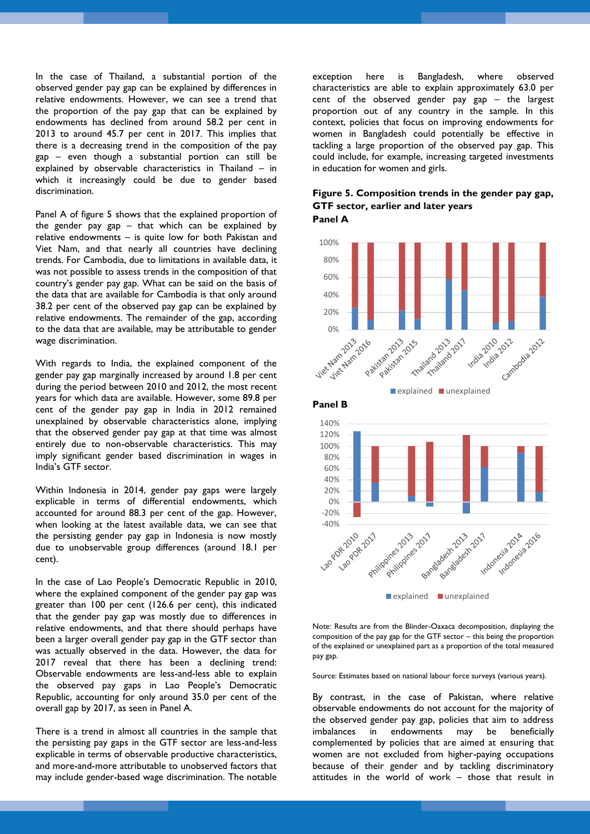In the case of Thailand, a substantial portion of the observed gender pay gap can be explained by differences in relative endowments. However, we can see a trend that the proportion of the pay gap that can be explained by endowments has declined from around 58.2 per cent in 2013 to around 45.7 per cent in 2017. This implies that there is a decreasing trend in the composition of the pay gap – even though a substantial portion can still be explained by observable characteristics in Thailand – in which it increasingly could be due to gender based discrimination.

Panel A of figure 5 shows that the explained proportion of the gender pay gap  $-$  that which can be explained by relative endowments – is quite low for both Pakistan and Viet Nam, and that nearly all countries have declining trends. For Cambodia, due to limitations in available data, it was not possible to assess trends in the composition of that country's gender pay gap. What can be said on the basis of the data that are available for Cambodia is that only around 38.2 per cent of the observed pay gap can be explained by relative endowments. The remainder of the gap, according to the data that are available, may be attributable to gender wage discrimination.

With regards to India, the explained component of the gender pay gap marginally increased by around 1.8 per cent during the period between 2010 and 2012, the most recent years for which data are available. However, some 89.8 per cent of the gender pay gap in India in 2012 remained unexplained by observable characteristics alone, implying that the observed gender pay gap at that time was almost entirely due to non-observable characteristics. This may imply significant gender based discrimination in wages in India's GTF sector.

Within Indonesia in 2014, gender pay gaps were largely explicable in terms of differential endowments, which accounted for around 88.3 per cent of the gap. However, when looking at the latest available data, we can see that the persisting gender pay gap in Indonesia is now mostly due to unobservable group differences (around 18.1 per cent).

In the case of Lao People's Democratic Republic in 2010, where the explained component of the gender pay gap was greater than 100 per cent (126.6 per cent), this indicated that the gender pay gap was mostly due to differences in relative endowments, and that there should perhaps have been a larger overall gender pay gap in the GTF sector than was actually observed in the data. However, the data for 2017 reveal that there has been a declining trend: Observable endowments are less-and-less able to explain the observed pay gaps in Lao People's Democratic Republic, accounting for only around 35.0 per cent of the overall gap by 2017, as seen in Panel A.

There is a trend in almost all countries in the sample that the persisting pay gaps in the GTF sector are less-and-less explicable in terms of observable productive characteristics, and more-and-more attributable to unobserved factors that may include gender-based wage discrimination. The notable

exception here is Bangladesh, where observed characteristics are able to explain approximately 63.0 per cent of the observed gender pay gap – the largest proportion out of any country in the sample. In this context, policies that focus on improving endowments for women in Bangladesh could potentially be effective in tackling a large proportion of the observed pay gap. This could include, for example, increasing targeted investments in education for women and girls.

## **Figure 5. Composition trends in the gender pay gap, GTF sector, earlier and later years Panel A**



**Panel B**



**explained** unexplained

Note: Results are from the Blinder-Oaxaca decomposition, displaying the composition of the pay gap for the GTF sector – this being the proportion of the explained or unexplained part as a proportion of the total measured pay gap.

Source: Estimates based on national labour force surveys (various years).

By contrast, in the case of Pakistan, where relative observable endowments do not account for the majority of the observed gender pay gap, policies that aim to address imbalances in endowments may be beneficially complemented by policies that are aimed at ensuring that women are not excluded from higher-paying occupations because of their gender and by tackling discriminatory attitudes in the world of work – those that result in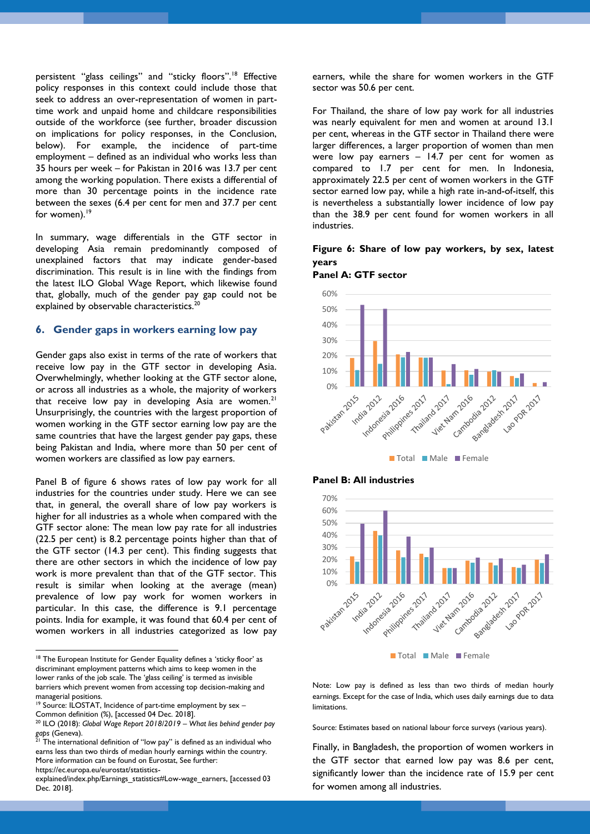persistent "glass ceilings" and "sticky floors".<sup>18</sup> Effective policy responses in this context could include those that seek to address an over-representation of women in parttime work and unpaid home and childcare responsibilities outside of the workforce (see further, broader discussion on implications for policy responses, in the Conclusion, below). For example, the incidence of part-time employment – defined as an individual who works less than 35 hours per week – for Pakistan in 2016 was 13.7 per cent among the working population. There exists a differential of more than 30 percentage points in the incidence rate between the sexes (6.4 per cent for men and 37.7 per cent for women).<sup>19</sup>

In summary, wage differentials in the GTF sector in developing Asia remain predominantly composed of unexplained factors that may indicate gender-based discrimination. This result is in line with the findings from the latest ILO Global Wage Report, which likewise found that, globally, much of the gender pay gap could not be explained by observable characteristics.<sup>2</sup>

#### **6. Gender gaps in workers earning low pay**

Gender gaps also exist in terms of the rate of workers that receive low pay in the GTF sector in developing Asia. Overwhelmingly, whether looking at the GTF sector alone, or across all industries as a whole, the majority of workers that receive low pay in developing Asia are women.<sup>21</sup> Unsurprisingly, the countries with the largest proportion of women working in the GTF sector earning low pay are the same countries that have the largest gender pay gaps, these being Pakistan and India, where more than 50 per cent of women workers are classified as low pay earners.

Panel B of figure 6 shows rates of low pay work for all industries for the countries under study. Here we can see that, in general, the overall share of low pay workers is higher for all industries as a whole when compared with the GTF sector alone: The mean low pay rate for all industries (22.5 per cent) is 8.2 percentage points higher than that of the GTF sector (14.3 per cent). This finding suggests that there are other sectors in which the incidence of low pay work is more prevalent than that of the GTF sector. This result is similar when looking at the average (mean) prevalence of low pay work for women workers in particular. In this case, the difference is 9.1 percentage points. India for example, it was found that 60.4 per cent of women workers in all industries categorized as low pay

earners, while the share for women workers in the GTF sector was 50.6 per cent.

For Thailand, the share of low pay work for all industries was nearly equivalent for men and women at around 13.1 per cent, whereas in the GTF sector in Thailand there were larger differences, a larger proportion of women than men were low pay earners – 14.7 per cent for women as compared to 1.7 per cent for men. In Indonesia, approximately 22.5 per cent of women workers in the GTF sector earned low pay, while a high rate in-and-of-itself, this is nevertheless a substantially lower incidence of low pay than the 38.9 per cent found for women workers in all industries.

## **Figure 6: Share of low pay workers, by sex, latest years**









Note: Low pay is defined as less than two thirds of median hourly earnings. Except for the case of India, which uses daily earnings due to data limitations.

Source: Estimates based on national labour force surveys (various years).

Finally, in Bangladesh, the proportion of women workers in the GTF sector that earned low pay was 8.6 per cent, significantly lower than the incidence rate of 15.9 per cent for women among all industries.

<sup>1</sup> <sup>18</sup> The European Institute for Gender Equality defines a 'sticky floor' as discriminant employment patterns which aims to keep women in the lower ranks of the job scale. The 'glass ceiling' is termed as invisible barriers which prevent women from accessing top decision-making and managerial positions.

<sup>&</sup>lt;sup>19</sup> Source: ILOSTAT, Incidence of part-time employment by sex -Common definition (%), [accessed 04 Dec. 2018].

<sup>20</sup> ILO (2018): *Global Wage Report 2018/2019 – What lies behind gender pay*  gaps (Geneva).

The international definition of "low pay" is defined as an individual who earns less than two thirds of median hourly earnings within the country. More information can be found on Eurostat, See further:

[https://ec.europa.eu/eurostat/statistics-](https://ec.europa.eu/eurostat/statistics-explained/index.php/Earnings_statistics#Low-wage_earners)

[explained/index.php/Earnings\\_statistics#Low-wage\\_earners,](https://ec.europa.eu/eurostat/statistics-explained/index.php/Earnings_statistics#Low-wage_earners) [accessed 03 Dec. 2018].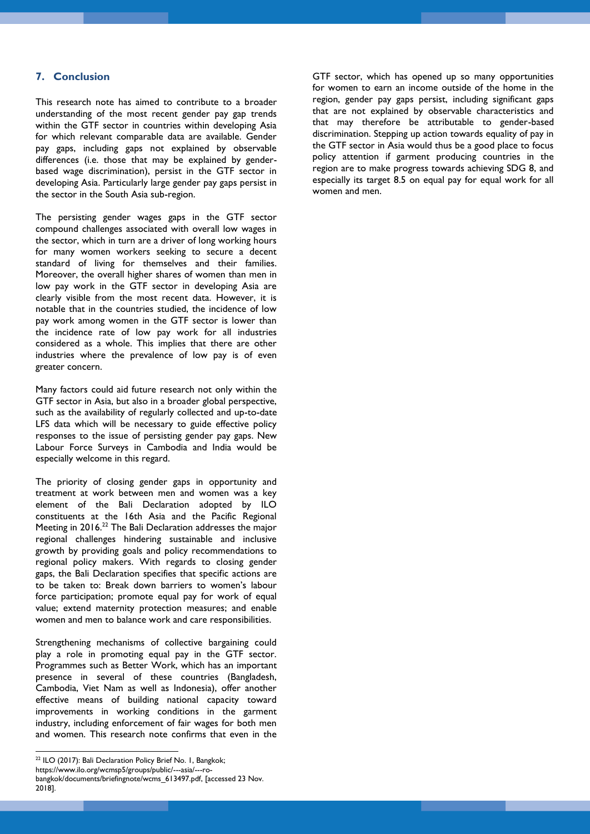## **7. Conclusion**

This research note has aimed to contribute to a broader understanding of the most recent gender pay gap trends within the GTF sector in countries within developing Asia for which relevant comparable data are available. Gender pay gaps, including gaps not explained by observable differences (i.e. those that may be explained by genderbased wage discrimination), persist in the GTF sector in developing Asia. Particularly large gender pay gaps persist in the sector in the South Asia sub-region.

The persisting gender wages gaps in the GTF sector compound challenges associated with overall low wages in the sector, which in turn are a driver of long working hours for many women workers seeking to secure a decent standard of living for themselves and their families. Moreover, the overall higher shares of women than men in low pay work in the GTF sector in developing Asia are clearly visible from the most recent data. However, it is notable that in the countries studied, the incidence of low pay work among women in the GTF sector is lower than the incidence rate of low pay work for all industries considered as a whole. This implies that there are other industries where the prevalence of low pay is of even greater concern.

Many factors could aid future research not only within the GTF sector in Asia, but also in a broader global perspective, such as the availability of regularly collected and up-to-date LFS data which will be necessary to guide effective policy responses to the issue of persisting gender pay gaps. New Labour Force Surveys in Cambodia and India would be especially welcome in this regard.

The priority of closing gender gaps in opportunity and treatment at work between men and women was a key element of the Bali Declaration adopted by ILO constituents at the 16th Asia and the Pacific Regional Meeting in 2016.<sup>22</sup> The Bali Declaration addresses the major regional challenges hindering sustainable and inclusive growth by providing goals and policy recommendations to regional policy makers. With regards to closing gender gaps, the Bali Declaration specifies that specific actions are to be taken to: Break down barriers to women's labour force participation; promote equal pay for work of equal value; extend maternity protection measures; and enable women and men to balance work and care responsibilities.

Strengthening mechanisms of collective bargaining could play a role in promoting equal pay in the GTF sector. Programmes such as Better Work, which has an important presence in several of these countries (Bangladesh, Cambodia, Viet Nam as well as Indonesia), offer another effective means of building national capacity toward improvements in working conditions in the garment industry, including enforcement of fair wages for both men and women. This research note confirms that even in the

1

GTF sector, which has opened up so many opportunities for women to earn an income outside of the home in the region, gender pay gaps persist, including significant gaps that are not explained by observable characteristics and that may therefore be attributable to gender-based discrimination. Stepping up action towards equality of pay in the GTF sector in Asia would thus be a good place to focus policy attention if garment producing countries in the region are to make progress towards achieving SDG 8, and especially its target 8.5 on equal pay for equal work for all women and men.

<sup>&</sup>lt;sup>22</sup> ILO (2017): Bali Declaration Policy Brief No. 1, Bangkok;

[https://www.ilo.org/wcmsp5/groups/public/---asia/---ro-](https://www.ilo.org/wcmsp5/groups/public/---asia/---ro-bangkok/documents/briefingnote/wcms_613497.pdf)

[bangkok/documents/briefingnote/wcms\\_613497.pdf,](https://www.ilo.org/wcmsp5/groups/public/---asia/---ro-bangkok/documents/briefingnote/wcms_613497.pdf) [accessed 23 Nov. 2018].